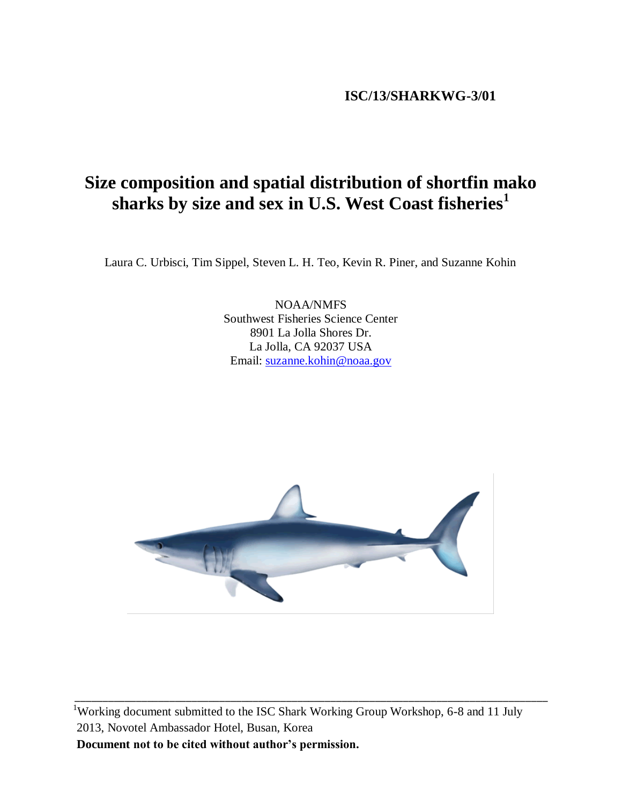# **ISC/13/SHARKWG-3/01**

# **Size composition and spatial distribution of shortfin mako sharks by size and sex in U.S. West Coast fisheries<sup>1</sup>**

Laura C. Urbisci, Tim Sippel, Steven L. H. Teo, Kevin R. Piner, and Suzanne Kohin

NOAA/NMFS Southwest Fisheries Science Center 8901 La Jolla Shores Dr. La Jolla, CA 92037 USA Email: [suzanne.kohin@noaa.gov](mailto:suzanne.kohin@noaa.gov)



<sup>1</sup>Working document submitted to the ISC Shark Working Group Workshop, 6-8 and 11 July 2013, Novotel Ambassador Hotel, Busan, Korea **Document not to be cited without author's permission.**

\_\_\_\_\_\_\_\_\_\_\_\_\_\_\_\_\_\_\_\_\_\_\_\_\_\_\_\_\_\_\_\_\_\_\_\_\_\_\_\_\_\_\_\_\_\_\_\_\_\_\_\_\_\_\_\_\_\_\_\_\_\_\_\_\_\_\_\_\_\_\_\_\_\_\_\_\_\_\_\_\_\_\_\_\_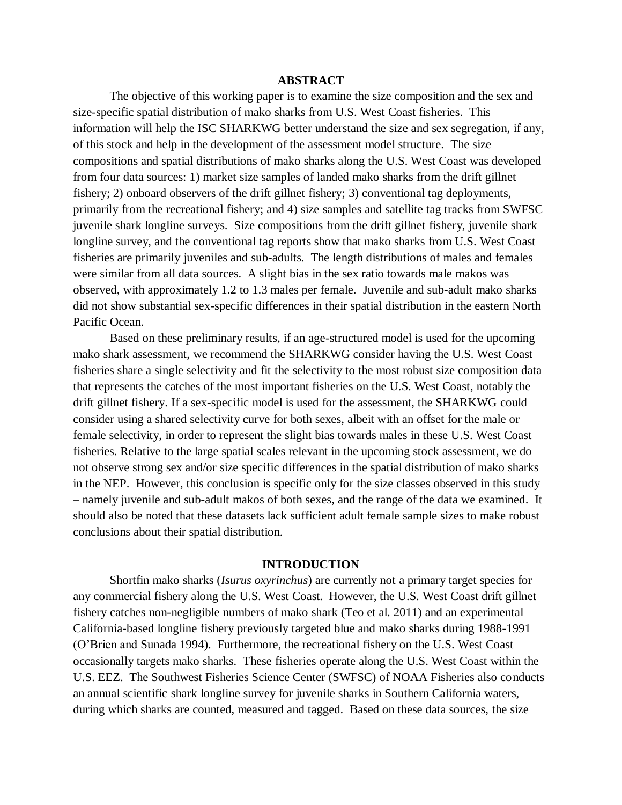## **ABSTRACT**

The objective of this working paper is to examine the size composition and the sex and size-specific spatial distribution of mako sharks from U.S. West Coast fisheries. This information will help the ISC SHARKWG better understand the size and sex segregation, if any, of this stock and help in the development of the assessment model structure. The size compositions and spatial distributions of mako sharks along the U.S. West Coast was developed from four data sources: 1) market size samples of landed mako sharks from the drift gillnet fishery; 2) onboard observers of the drift gillnet fishery; 3) conventional tag deployments, primarily from the recreational fishery; and 4) size samples and satellite tag tracks from SWFSC juvenile shark longline surveys. Size compositions from the drift gillnet fishery, juvenile shark longline survey, and the conventional tag reports show that mako sharks from U.S. West Coast fisheries are primarily juveniles and sub-adults. The length distributions of males and females were similar from all data sources. A slight bias in the sex ratio towards male makos was observed, with approximately 1.2 to 1.3 males per female. Juvenile and sub-adult mako sharks did not show substantial sex-specific differences in their spatial distribution in the eastern North Pacific Ocean.

Based on these preliminary results, if an age-structured model is used for the upcoming mako shark assessment, we recommend the SHARKWG consider having the U.S. West Coast fisheries share a single selectivity and fit the selectivity to the most robust size composition data that represents the catches of the most important fisheries on the U.S. West Coast, notably the drift gillnet fishery. If a sex-specific model is used for the assessment, the SHARKWG could consider using a shared selectivity curve for both sexes, albeit with an offset for the male or female selectivity, in order to represent the slight bias towards males in these U.S. West Coast fisheries. Relative to the large spatial scales relevant in the upcoming stock assessment, we do not observe strong sex and/or size specific differences in the spatial distribution of mako sharks in the NEP. However, this conclusion is specific only for the size classes observed in this study – namely juvenile and sub-adult makos of both sexes, and the range of the data we examined. It should also be noted that these datasets lack sufficient adult female sample sizes to make robust conclusions about their spatial distribution.

#### **INTRODUCTION**

Shortfin mako sharks (*Isurus oxyrinchus*) are currently not a primary target species for any commercial fishery along the U.S. West Coast. However, the U.S. West Coast drift gillnet fishery catches non-negligible numbers of mako shark (Teo et al. 2011) and an experimental California-based longline fishery previously targeted blue and mako sharks during 1988-1991 (O'Brien and Sunada 1994). Furthermore, the recreational fishery on the U.S. West Coast occasionally targets mako sharks. These fisheries operate along the U.S. West Coast within the U.S. EEZ. The Southwest Fisheries Science Center (SWFSC) of NOAA Fisheries also conducts an annual scientific shark longline survey for juvenile sharks in Southern California waters, during which sharks are counted, measured and tagged. Based on these data sources, the size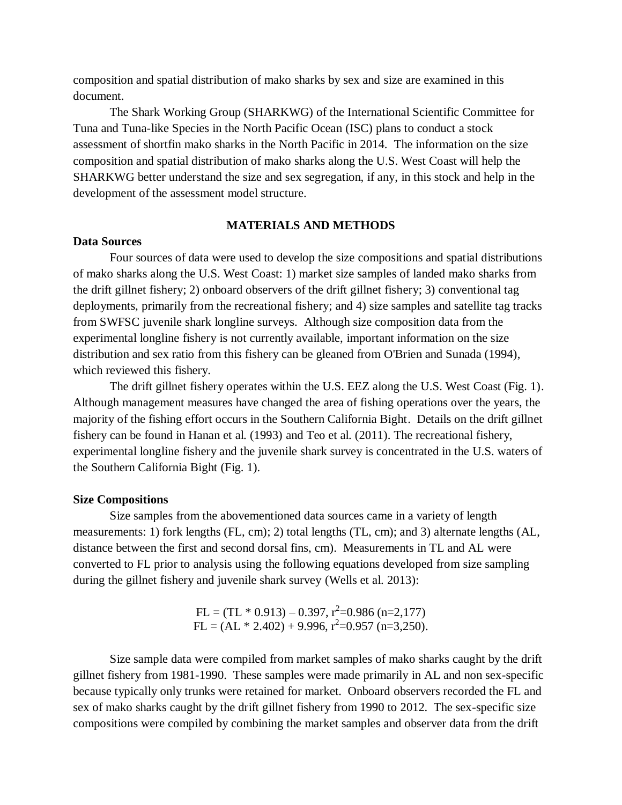composition and spatial distribution of mako sharks by sex and size are examined in this document.

The Shark Working Group (SHARKWG) of the International Scientific Committee for Tuna and Tuna-like Species in the North Pacific Ocean (ISC) plans to conduct a stock assessment of shortfin mako sharks in the North Pacific in 2014. The information on the size composition and spatial distribution of mako sharks along the U.S. West Coast will help the SHARKWG better understand the size and sex segregation, if any, in this stock and help in the development of the assessment model structure.

# **MATERIALS AND METHODS**

# **Data Sources**

Four sources of data were used to develop the size compositions and spatial distributions of mako sharks along the U.S. West Coast: 1) market size samples of landed mako sharks from the drift gillnet fishery; 2) onboard observers of the drift gillnet fishery; 3) conventional tag deployments, primarily from the recreational fishery; and 4) size samples and satellite tag tracks from SWFSC juvenile shark longline surveys. Although size composition data from the experimental longline fishery is not currently available, important information on the size distribution and sex ratio from this fishery can be gleaned from O'Brien and Sunada (1994), which reviewed this fishery.

The drift gillnet fishery operates within the U.S. EEZ along the U.S. West Coast (Fig. 1). Although management measures have changed the area of fishing operations over the years, the majority of the fishing effort occurs in the Southern California Bight. Details on the drift gillnet fishery can be found in Hanan et al. (1993) and Teo et al. (2011). The recreational fishery, experimental longline fishery and the juvenile shark survey is concentrated in the U.S. waters of the Southern California Bight (Fig. 1).

#### **Size Compositions**

Size samples from the abovementioned data sources came in a variety of length measurements: 1) fork lengths (FL, cm); 2) total lengths (TL, cm); and 3) alternate lengths (AL, distance between the first and second dorsal fins, cm). Measurements in TL and AL were converted to FL prior to analysis using the following equations developed from size sampling during the gillnet fishery and juvenile shark survey (Wells et al. 2013):

> $FL = (TL * 0.913) - 0.397, r^2 = 0.986 (n = 2,177)$  $FL = (AL * 2.402) + 9.996, r^2=0.957 (n=3,250).$

Size sample data were compiled from market samples of mako sharks caught by the drift gillnet fishery from 1981-1990. These samples were made primarily in AL and non sex-specific because typically only trunks were retained for market. Onboard observers recorded the FL and sex of mako sharks caught by the drift gillnet fishery from 1990 to 2012. The sex-specific size compositions were compiled by combining the market samples and observer data from the drift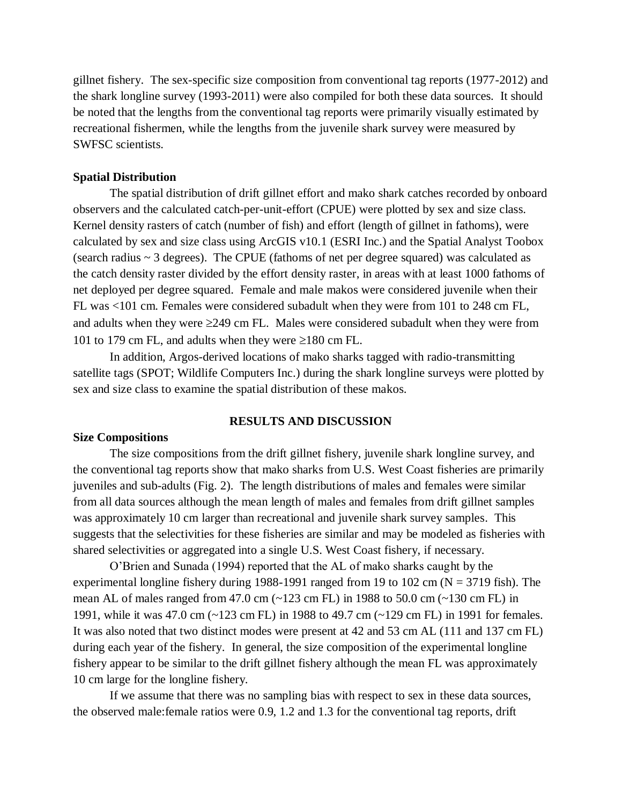gillnet fishery. The sex-specific size composition from conventional tag reports (1977-2012) and the shark longline survey (1993-2011) were also compiled for both these data sources. It should be noted that the lengths from the conventional tag reports were primarily visually estimated by recreational fishermen, while the lengths from the juvenile shark survey were measured by SWFSC scientists.

#### **Spatial Distribution**

The spatial distribution of drift gillnet effort and mako shark catches recorded by onboard observers and the calculated catch-per-unit-effort (CPUE) were plotted by sex and size class. Kernel density rasters of catch (number of fish) and effort (length of gillnet in fathoms), were calculated by sex and size class using ArcGIS v10.1 (ESRI Inc.) and the Spatial Analyst Toobox (search radius ~ 3 degrees). The CPUE (fathoms of net per degree squared) was calculated as the catch density raster divided by the effort density raster, in areas with at least 1000 fathoms of net deployed per degree squared. Female and male makos were considered juvenile when their FL was <101 cm. Females were considered subadult when they were from 101 to 248 cm FL, and adults when they were  $\geq$ 249 cm FL. Males were considered subadult when they were from 101 to 179 cm FL, and adults when they were  $\geq$ 180 cm FL.

In addition, Argos-derived locations of mako sharks tagged with radio-transmitting satellite tags (SPOT; Wildlife Computers Inc.) during the shark longline surveys were plotted by sex and size class to examine the spatial distribution of these makos.

#### **RESULTS AND DISCUSSION**

#### **Size Compositions**

The size compositions from the drift gillnet fishery, juvenile shark longline survey, and the conventional tag reports show that mako sharks from U.S. West Coast fisheries are primarily juveniles and sub-adults (Fig. 2). The length distributions of males and females were similar from all data sources although the mean length of males and females from drift gillnet samples was approximately 10 cm larger than recreational and juvenile shark survey samples. This suggests that the selectivities for these fisheries are similar and may be modeled as fisheries with shared selectivities or aggregated into a single U.S. West Coast fishery, if necessary.

O'Brien and Sunada (1994) reported that the AL of mako sharks caught by the experimental longline fishery during 1988-1991 ranged from 19 to 102 cm ( $N = 3719$  fish). The mean AL of males ranged from 47.0 cm (~123 cm FL) in 1988 to 50.0 cm (~130 cm FL) in 1991, while it was 47.0 cm (~123 cm FL) in 1988 to 49.7 cm (~129 cm FL) in 1991 for females. It was also noted that two distinct modes were present at 42 and 53 cm AL (111 and 137 cm FL) during each year of the fishery. In general, the size composition of the experimental longline fishery appear to be similar to the drift gillnet fishery although the mean FL was approximately 10 cm large for the longline fishery.

If we assume that there was no sampling bias with respect to sex in these data sources, the observed male:female ratios were 0.9, 1.2 and 1.3 for the conventional tag reports, drift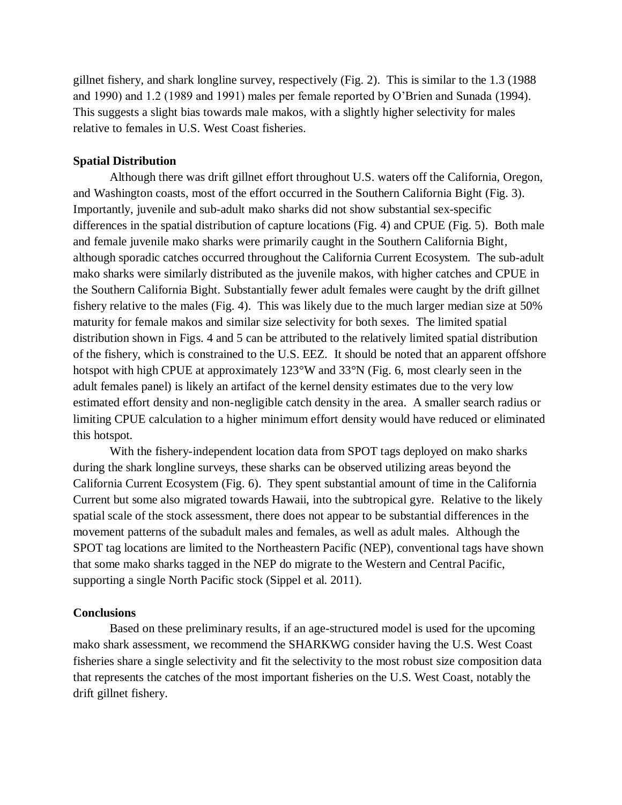gillnet fishery, and shark longline survey, respectively (Fig. 2). This is similar to the 1.3 (1988 and 1990) and 1.2 (1989 and 1991) males per female reported by O'Brien and Sunada (1994). This suggests a slight bias towards male makos, with a slightly higher selectivity for males relative to females in U.S. West Coast fisheries.

# **Spatial Distribution**

Although there was drift gillnet effort throughout U.S. waters off the California, Oregon, and Washington coasts, most of the effort occurred in the Southern California Bight (Fig. 3). Importantly, juvenile and sub-adult mako sharks did not show substantial sex-specific differences in the spatial distribution of capture locations (Fig. 4) and CPUE (Fig. 5). Both male and female juvenile mako sharks were primarily caught in the Southern California Bight, although sporadic catches occurred throughout the California Current Ecosystem. The sub-adult mako sharks were similarly distributed as the juvenile makos, with higher catches and CPUE in the Southern California Bight. Substantially fewer adult females were caught by the drift gillnet fishery relative to the males (Fig. 4). This was likely due to the much larger median size at 50% maturity for female makos and similar size selectivity for both sexes. The limited spatial distribution shown in Figs. 4 and 5 can be attributed to the relatively limited spatial distribution of the fishery, which is constrained to the U.S. EEZ. It should be noted that an apparent offshore hotspot with high CPUE at approximately 123°W and 33°N (Fig. 6, most clearly seen in the adult females panel) is likely an artifact of the kernel density estimates due to the very low estimated effort density and non-negligible catch density in the area. A smaller search radius or limiting CPUE calculation to a higher minimum effort density would have reduced or eliminated this hotspot.

With the fishery-independent location data from SPOT tags deployed on mako sharks during the shark longline surveys, these sharks can be observed utilizing areas beyond the California Current Ecosystem (Fig. 6). They spent substantial amount of time in the California Current but some also migrated towards Hawaii, into the subtropical gyre. Relative to the likely spatial scale of the stock assessment, there does not appear to be substantial differences in the movement patterns of the subadult males and females, as well as adult males. Although the SPOT tag locations are limited to the Northeastern Pacific (NEP), conventional tags have shown that some mako sharks tagged in the NEP do migrate to the Western and Central Pacific, supporting a single North Pacific stock (Sippel et al. 2011).

## **Conclusions**

Based on these preliminary results, if an age-structured model is used for the upcoming mako shark assessment, we recommend the SHARKWG consider having the U.S. West Coast fisheries share a single selectivity and fit the selectivity to the most robust size composition data that represents the catches of the most important fisheries on the U.S. West Coast, notably the drift gillnet fishery.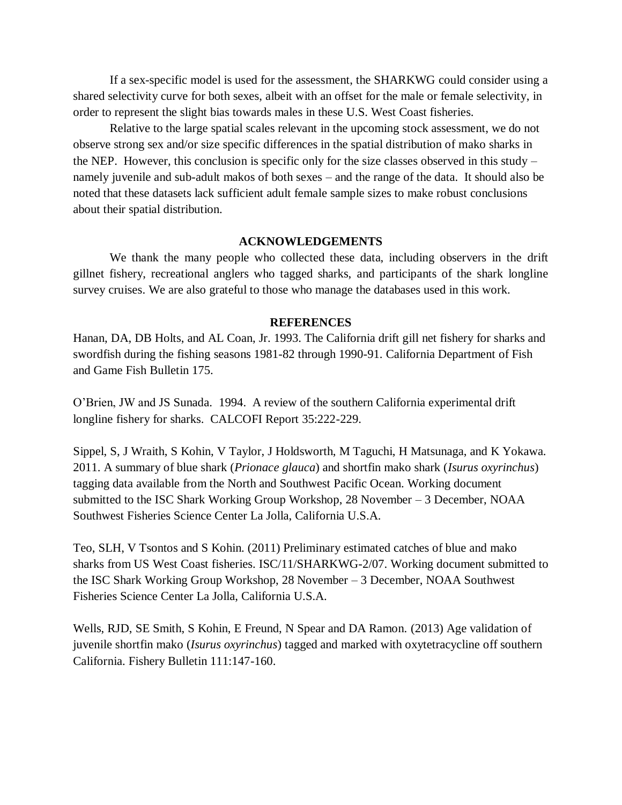If a sex-specific model is used for the assessment, the SHARKWG could consider using a shared selectivity curve for both sexes, albeit with an offset for the male or female selectivity, in order to represent the slight bias towards males in these U.S. West Coast fisheries.

Relative to the large spatial scales relevant in the upcoming stock assessment, we do not observe strong sex and/or size specific differences in the spatial distribution of mako sharks in the NEP. However, this conclusion is specific only for the size classes observed in this study  $$ namely juvenile and sub-adult makos of both sexes – and the range of the data. It should also be noted that these datasets lack sufficient adult female sample sizes to make robust conclusions about their spatial distribution.

## **ACKNOWLEDGEMENTS**

We thank the many people who collected these data, including observers in the drift gillnet fishery, recreational anglers who tagged sharks, and participants of the shark longline survey cruises. We are also grateful to those who manage the databases used in this work.

#### **REFERENCES**

Hanan, DA, DB Holts, and AL Coan, Jr. 1993. The California drift gill net fishery for sharks and swordfish during the fishing seasons 1981-82 through 1990-91. California Department of Fish and Game Fish Bulletin 175.

O'Brien, JW and JS Sunada. 1994. A review of the southern California experimental drift longline fishery for sharks. CALCOFI Report 35:222-229.

Sippel, S, J Wraith, S Kohin, V Taylor, J Holdsworth, M Taguchi, H Matsunaga, and K Yokawa. 2011. A summary of blue shark (*Prionace glauca*) and shortfin mako shark (*Isurus oxyrinchus*) tagging data available from the North and Southwest Pacific Ocean. Working document submitted to the ISC Shark Working Group Workshop, 28 November – 3 December, NOAA Southwest Fisheries Science Center La Jolla, California U.S.A.

Teo, SLH, V Tsontos and S Kohin. (2011) Preliminary estimated catches of blue and mako sharks from US West Coast fisheries. ISC/11/SHARKWG-2/07. Working document submitted to the ISC Shark Working Group Workshop, 28 November – 3 December, NOAA Southwest Fisheries Science Center La Jolla, California U.S.A.

Wells, RJD, SE Smith, S Kohin, E Freund, N Spear and DA Ramon. (2013) Age validation of juvenile shortfin mako (*Isurus oxyrinchus*) tagged and marked with oxytetracycline off southern California. Fishery Bulletin 111:147-160.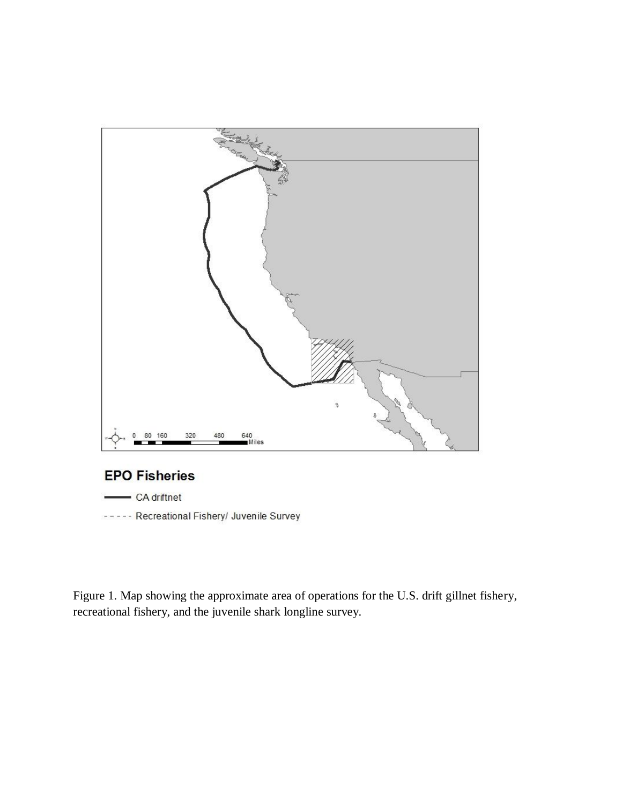

# **EPO Fisheries**

- CA driftnet

----- Recreational Fishery/ Juvenile Survey

Figure 1. Map showing the approximate area of operations for the U.S. drift gillnet fishery, recreational fishery, and the juvenile shark longline survey.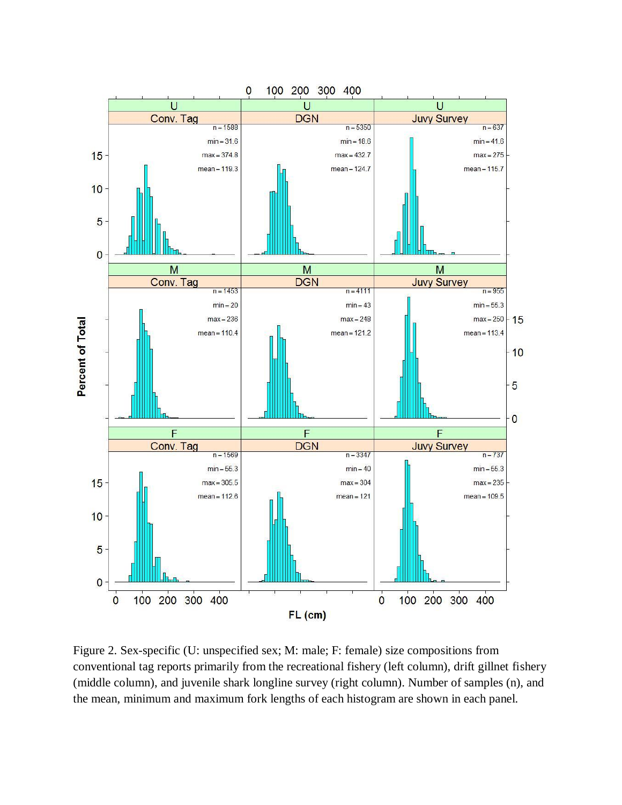

Figure 2. Sex-specific (U: unspecified sex; M: male; F: female) size compositions from conventional tag reports primarily from the recreational fishery (left column), drift gillnet fishery (middle column), and juvenile shark longline survey (right column). Number of samples (n), and the mean, minimum and maximum fork lengths of each histogram are shown in each panel.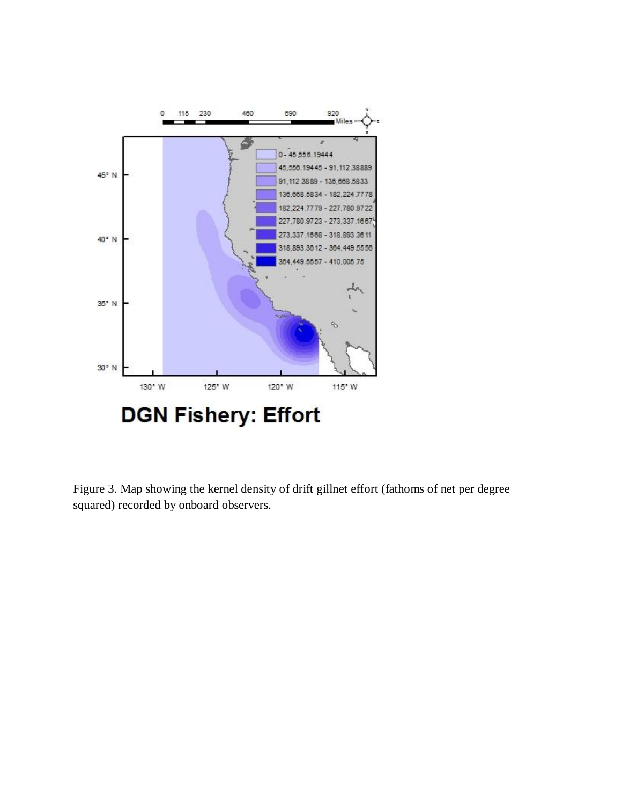

Figure 3. Map showing the kernel density of drift gillnet effort (fathoms of net per degree squared) recorded by onboard observers.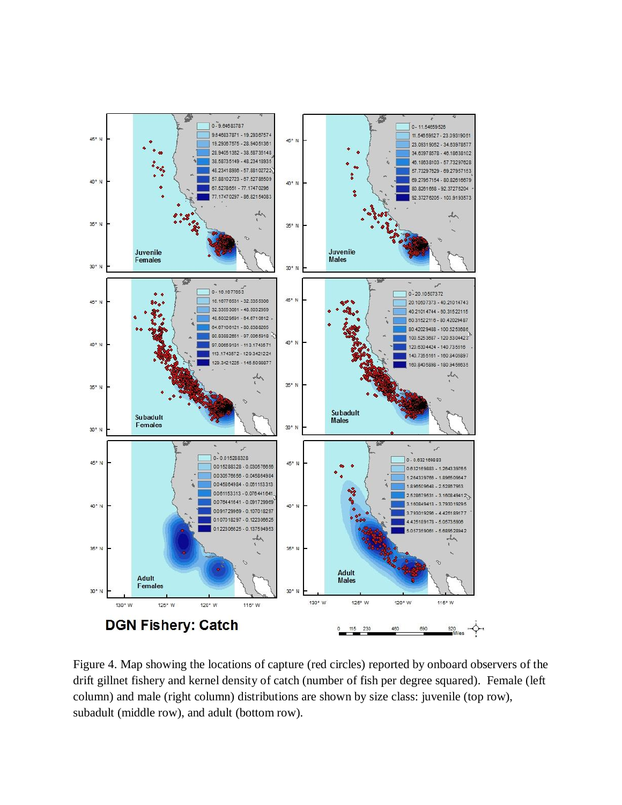

Figure 4. Map showing the locations of capture (red circles) reported by onboard observers of the drift gillnet fishery and kernel density of catch (number of fish per degree squared). Female (left column) and male (right column) distributions are shown by size class: juvenile (top row), subadult (middle row), and adult (bottom row).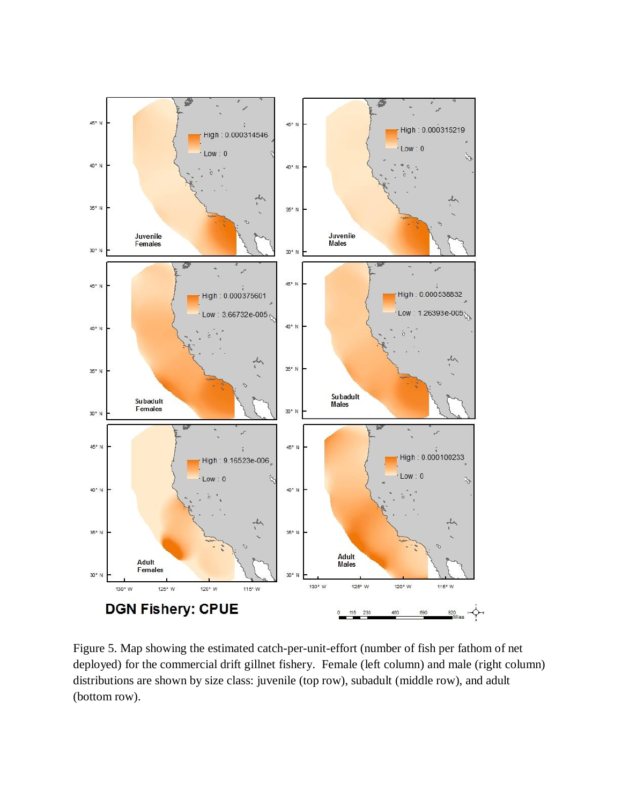

Figure 5. Map showing the estimated catch-per-unit-effort (number of fish per fathom of net deployed) for the commercial drift gillnet fishery. Female (left column) and male (right column) distributions are shown by size class: juvenile (top row), subadult (middle row), and adult (bottom row).